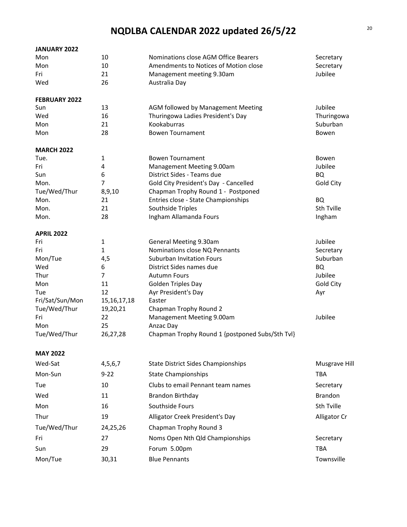| JANUARY 2022               |                |                                                 |                |
|----------------------------|----------------|-------------------------------------------------|----------------|
| Mon                        | 10             | Nominations close AGM Office Bearers            | Secretary      |
| Mon                        | 10             | Amendments to Notices of Motion close           | Secretary      |
| Fri                        | 21             | Management meeting 9.30am                       | Jubilee        |
| Wed                        | 26             | Australia Day                                   |                |
| <b>FEBRUARY 2022</b>       |                |                                                 |                |
| Sun                        | 13             | AGM followed by Management Meeting              | Jubilee        |
| Wed                        | 16             | Thuringowa Ladies President's Day               | Thuringowa     |
| Mon                        | 21             | Kookaburras                                     | Suburban       |
| Mon                        | 28             | <b>Bowen Tournament</b>                         | Bowen          |
| <b>MARCH 2022</b>          |                |                                                 |                |
| Tue.                       | $\mathbf{1}$   | <b>Bowen Tournament</b>                         | Bowen          |
| Fri                        | 4              | Management Meeting 9.00am                       | Jubilee        |
| Sun                        | 6              | District Sides - Teams due                      | BQ             |
| Mon.                       | $\overline{7}$ | Gold City President's Day - Cancelled           | Gold City      |
| Tue/Wed/Thur               | 8,9,10         | Chapman Trophy Round 1 - Postponed              |                |
| Mon.                       | 21             | Entries close - State Championships             | <b>BQ</b>      |
| Mon.                       | 21             | Southside Triples                               | Sth Tville     |
| Mon.                       | 28             | Ingham Allamanda Fours                          | Ingham         |
| <b>APRIL 2022</b>          |                |                                                 |                |
| Fri                        | $\mathbf{1}$   | General Meeting 9.30am                          | Jubilee        |
| Fri                        | $\mathbf{1}$   | Nominations close NQ Pennants                   | Secretary      |
| Mon/Tue                    | 4,5            | <b>Suburban Invitation Fours</b>                | Suburban       |
| Wed                        | 6              | District Sides names due                        | <b>BQ</b>      |
| Thur                       | $\overline{7}$ | <b>Autumn Fours</b>                             | Jubilee        |
| Mon                        | 11             | Golden Triples Day                              | Gold City      |
| Tue                        | 12             | Ayr President's Day                             | Ayr            |
| Fri/Sat/Sun/Mon            | 15, 16, 17, 18 | Easter                                          |                |
| Tue/Wed/Thur<br>Fri        | 19,20,21<br>22 | Chapman Trophy Round 2                          | Jubilee        |
| Mon                        | 25             | Management Meeting 9.00am<br>Anzac Day          |                |
| Tue/Wed/Thur               | 26,27,28       | Chapman Trophy Round 1 {postponed Subs/Sth Tvl} |                |
|                            |                |                                                 |                |
| <b>MAY 2022</b><br>Wed-Sat |                | <b>State District Sides Championships</b>       |                |
|                            | 4,5,6,7        |                                                 | Musgrave Hill  |
| Mon-Sun                    | $9 - 22$       | <b>State Championships</b>                      | <b>TBA</b>     |
| Tue                        | 10             | Clubs to email Pennant team names               | Secretary      |
| Wed                        | 11             | Brandon Birthday                                | <b>Brandon</b> |
| Mon                        | 16             | Southside Fours                                 | Sth Tville     |
| Thur                       | 19             | Alligator Creek President's Day                 | Alligator Cr   |
| Tue/Wed/Thur               | 24,25,26       | Chapman Trophy Round 3                          |                |
| Fri                        | 27             | Noms Open Nth Qld Championships                 | Secretary      |
| Sun                        | 29             | Forum 5.00pm                                    | TBA            |
| Mon/Tue                    | 30,31          | <b>Blue Pennants</b>                            | Townsville     |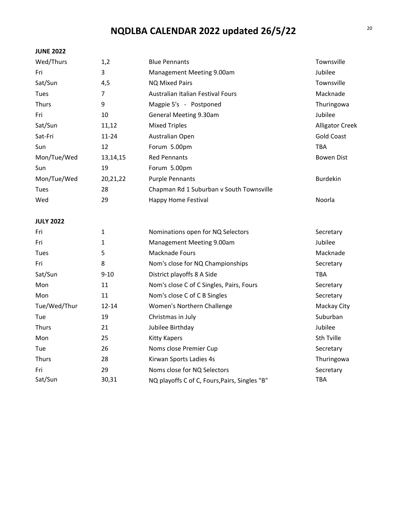### **JUNE 2022**

| Wed/Thurs   | 1,2       | <b>Blue Pennants</b>                     | Townsville             |
|-------------|-----------|------------------------------------------|------------------------|
| Fri         | 3         | Management Meeting 9.00am                | Jubilee                |
| Sat/Sun     | 4,5       | NQ Mixed Pairs                           | Townsville             |
| Tues        | 7         | Australian Italian Festival Fours        | Macknade               |
| Thurs       | 9         | Magpie 5's - Postponed                   | Thuringowa             |
| Fri         | 10        | General Meeting 9.30am                   | Jubilee                |
| Sat/Sun     | 11,12     | <b>Mixed Triples</b>                     | <b>Alligator Creek</b> |
| Sat-Fri     | $11 - 24$ | Australian Open                          | <b>Gold Coast</b>      |
| Sun         | 12        | Forum 5.00pm                             | <b>TBA</b>             |
| Mon/Tue/Wed | 13,14,15  | <b>Red Pennants</b>                      | Bowen Dist             |
| Sun         | 19        | Forum 5.00pm                             |                        |
| Mon/Tue/Wed | 20,21,22  | <b>Purple Pennants</b>                   | <b>Burdekin</b>        |
| Tues        | 28        | Chapman Rd 1 Suburban v South Townsville |                        |
| Wed         | 29        | Happy Home Festival                      | Noorla                 |

### **JULY 2022**

| Fri          | 1         | Nominations open for NQ Selectors             | Secretary   |
|--------------|-----------|-----------------------------------------------|-------------|
| Fri          | 1         | Management Meeting 9.00am                     | Jubilee     |
| Tues         | 5         | Macknade Fours                                | Macknade    |
| Fri          | 8         | Nom's close for NQ Championships              | Secretary   |
| Sat/Sun      | $9 - 10$  | District playoffs 8 A Side                    | TBA         |
| Mon          | 11        | Nom's close C of C Singles, Pairs, Fours      | Secretary   |
| Mon          | 11        | Nom's close C of C B Singles                  | Secretary   |
| Tue/Wed/Thur | $12 - 14$ | Women's Northern Challenge                    | Mackay City |
| Tue          | 19        | Christmas in July                             | Suburban    |
| Thurs        | 21        | Jubilee Birthday                              | Jubilee     |
| Mon          | 25        | Kitty Kapers                                  | Sth Tville  |
| Tue          | 26        | Noms close Premier Cup                        | Secretary   |
| <b>Thurs</b> | 28        | Kirwan Sports Ladies 4s                       | Thuringowa  |
| Fri          | 29        | Noms close for NQ Selectors                   | Secretary   |
| Sat/Sun      | 30,31     | NQ playoffs C of C, Fours, Pairs, Singles "B" | TBA         |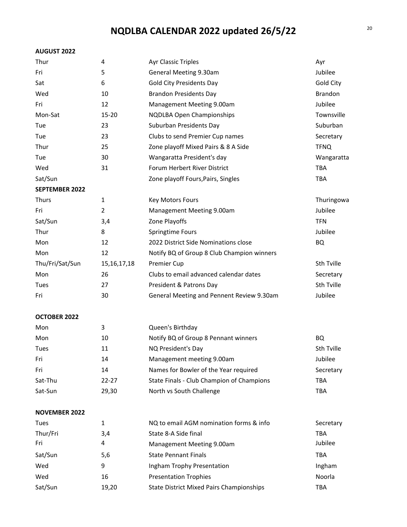### **AUGUST 2022**

| Thur                  | 4              | <b>Ayr Classic Triples</b>                      | Ayr            |
|-----------------------|----------------|-------------------------------------------------|----------------|
| Fri                   | 5              | General Meeting 9.30am                          | Jubilee        |
| Sat                   | 6              | <b>Gold City Presidents Day</b>                 | Gold City      |
| Wed                   | 10             | <b>Brandon Presidents Day</b>                   | <b>Brandon</b> |
| Fri                   | 12             | Management Meeting 9.00am                       | Jubilee        |
| Mon-Sat               | $15 - 20$      | NQDLBA Open Championships                       | Townsville     |
| Tue                   | 23             | Suburban Presidents Day                         | Suburban       |
| Tue                   | 23             | Clubs to send Premier Cup names                 | Secretary      |
| Thur                  | 25             | Zone playoff Mixed Pairs & 8 A Side             | <b>TFNQ</b>    |
| Tue                   | 30             | Wangaratta President's day                      | Wangaratta     |
| Wed                   | 31             | Forum Herbert River District                    | <b>TBA</b>     |
| Sat/Sun               |                | Zone playoff Fours, Pairs, Singles              | <b>TBA</b>     |
| <b>SEPTEMBER 2022</b> |                |                                                 |                |
| <b>Thurs</b>          | $\mathbf{1}$   | Key Motors Fours                                | Thuringowa     |
| Fri                   | $\overline{2}$ | Management Meeting 9.00am                       | Jubilee        |
| Sat/Sun               | 3,4            | Zone Playoffs                                   | <b>TFN</b>     |
| Thur                  | 8              | Springtime Fours                                | Jubilee        |
| Mon                   | 12             | 2022 District Side Nominations close            | <b>BQ</b>      |
| Mon                   | 12             | Notify BQ of Group 8 Club Champion winners      |                |
| Thu/Fri/Sat/Sun       | 15, 16, 17, 18 | Premier Cup                                     | Sth Tville     |
| Mon                   | 26             | Clubs to email advanced calendar dates          | Secretary      |
| Tues                  | 27             | President & Patrons Day                         | Sth Tville     |
| Fri                   | 30             | General Meeting and Pennent Review 9.30am       | Jubilee        |
| <b>OCTOBER 2022</b>   |                |                                                 |                |
| Mon                   | 3              | Queen's Birthday                                |                |
| Mon                   | 10             | Notify BQ of Group 8 Pennant winners            | <b>BQ</b>      |
| Tues                  | 11             | NQ President's Day                              | Sth Tville     |
| Fri                   | 14             | Management meeting 9.00am                       | Jubilee        |
| Fri                   | 14             | Names for Bowler of the Year required           | Secretary      |
| Sat-Thu               | $22 - 27$      | State Finals - Club Champion of Champions       | <b>TBA</b>     |
| Sat-Sun               | 29,30          | North vs South Challenge                        | TBA            |
| <b>NOVEMBER 2022</b>  |                |                                                 |                |
| Tues                  | $\mathbf{1}$   | NQ to email AGM nomination forms & info         | Secretary      |
| Thur/Fri              | 3,4            | State 8-A Side final                            | <b>TBA</b>     |
| Fri                   | 4              | Management Meeting 9.00am                       | Jubilee        |
| Sat/Sun               | 5,6            | <b>State Pennant Finals</b>                     | <b>TBA</b>     |
| Wed                   | 9              | Ingham Trophy Presentation                      | Ingham         |
| Wed                   | 16             | <b>Presentation Trophies</b>                    | Noorla         |
| Sat/Sun               | 19,20          | <b>State District Mixed Pairs Championships</b> | TBA            |
|                       |                |                                                 |                |